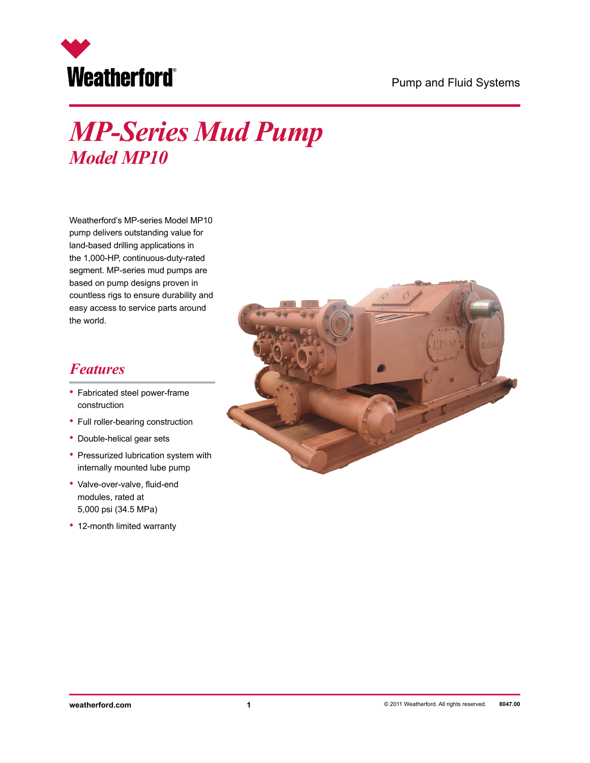#### Pump and Fluid Systems



# *MP-Series Mud Pump Model MP10*

Weatherford's MP-series Model MP10 pump delivers outstanding value for land-based drilling applications in the 1,000-HP, continuous-duty-rated segment. MP-series mud pumps are based on pump designs proven in countless rigs to ensure durability and easy access to service parts around the world.

### *Features*

- Fabricated steel power-frame construction
- Full roller-bearing construction
- Double-helical gear sets
- Pressurized lubrication system with internally mounted lube pump
- Valve-over-valve, fluid-end modules, rated at 5,000 psi (34.5 MPa)
- 12-month limited warranty